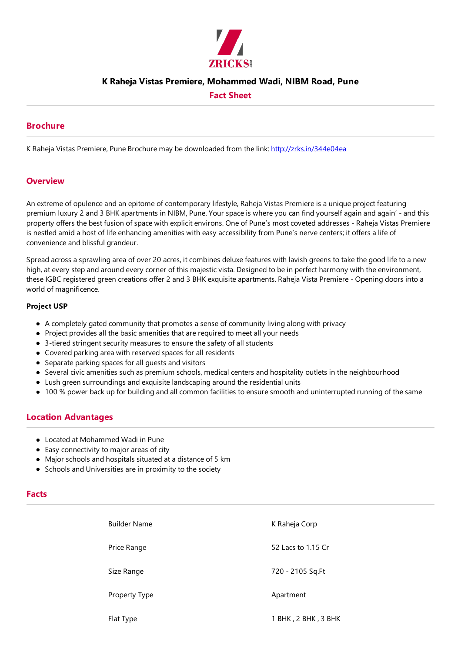

## **K Raheja Vistas Premiere, Mohammed Wadi, NIBM Road, Pune**

## **Fact Sheet**

### **Brochure**

K Raheja Vistas Premiere, Pune Brochure may be downloaded from the link: http://zrks.in/344e04ea

### **Overview**

An extreme of opulence and an epitome of contemporary lifestyle, Raheja Vistas Premiere is a unique project featuring premium luxury 2 and 3 BHK apartments in NIBM, Pune. Your space is where you can find yourself again and again' - and this property offers the best fusion of space with explicit environs. One of Pune's most coveted addresses - Raheja Vistas Premiere is nestled amid a host of life enhancing amenities with easy accessibility from Pune's nerve centers; it offers a life of convenience and blissful grandeur.

Spread across a sprawling area of over 20 acres, it combines deluxe features with lavish greens to take the good life to a new high, at every step and around every corner of this majestic vista. Designed to be in perfect harmony with the environment, these IGBC registered green creations offer 2 and 3 BHK exquisite apartments. Raheja Vista Premiere - Opening doors into a world of magnificence.

#### **Project USP**

- A completely gated community that promotes a sense of community living along with privacy
- Project provides all the basic amenities that are required to meet all your needs
- $\bullet$  3-tiered stringent security measures to ensure the safety of all students
- Covered parking area with reserved spaces for all residents
- Separate parking spaces for all quests and visitors
- Several civic amenities such as premium schools, medical centers and hospitality outlets in the neighbourhood
- Lush green surroundings and exquisitelandscaping around theresidential units
- 100 % power back up for building and all common facilities to ensure smooth and uninterrupted running of the same

## **Location Advantages**

- Located at Mohammed Wadi in Pune
- Easy connectivity to major areas of city
- Major schools and hospitals situated at a distance of 5 km
- Schools and Universities are in proximity to the society

#### **Facts**

| <b>Builder Name</b> | K Raheja Corp       |
|---------------------|---------------------|
| Price Range         | 52 Lacs to 1.15 Cr  |
| Size Range          | 720 - 2105 Sq.Ft    |
| Property Type       | Apartment           |
| Flat Type           | 1 BHK, 2 BHK, 3 BHK |